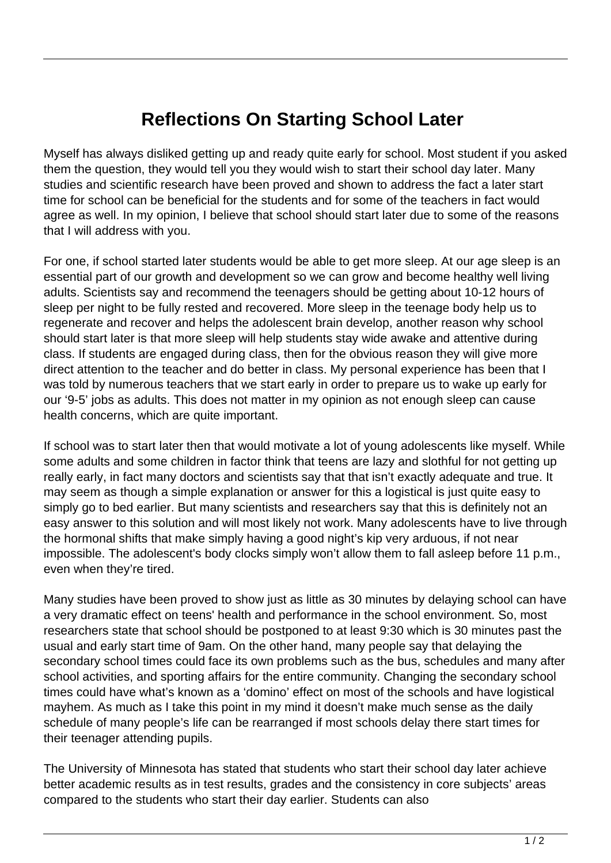## **Reflections On Starting School Later**

Myself has always disliked getting up and ready quite early for school. Most student if you asked them the question, they would tell you they would wish to start their school day later. Many studies and scientific research have been proved and shown to address the fact a later start time for school can be beneficial for the students and for some of the teachers in fact would agree as well. In my opinion, I believe that school should start later due to some of the reasons that I will address with you.

For one, if school started later students would be able to get more sleep. At our age sleep is an essential part of our growth and development so we can grow and become healthy well living adults. Scientists say and recommend the teenagers should be getting about 10-12 hours of sleep per night to be fully rested and recovered. More sleep in the teenage body help us to regenerate and recover and helps the adolescent brain develop, another reason why school should start later is that more sleep will help students stay wide awake and attentive during class. If students are engaged during class, then for the obvious reason they will give more direct attention to the teacher and do better in class. My personal experience has been that I was told by numerous teachers that we start early in order to prepare us to wake up early for our '9-5' jobs as adults. This does not matter in my opinion as not enough sleep can cause health concerns, which are quite important.

If school was to start later then that would motivate a lot of young adolescents like myself. While some adults and some children in factor think that teens are lazy and slothful for not getting up really early, in fact many doctors and scientists say that that isn't exactly adequate and true. It may seem as though a simple explanation or answer for this a logistical is just quite easy to simply go to bed earlier. But many scientists and researchers say that this is definitely not an easy answer to this solution and will most likely not work. Many adolescents have to live through the hormonal shifts that make simply having a good night's kip very arduous, if not near impossible. The adolescent's body clocks simply won't allow them to fall asleep before 11 p.m., even when they're tired.

Many studies have been proved to show just as little as 30 minutes by delaying school can have a very dramatic effect on teens' health and performance in the school environment. So, most researchers state that school should be postponed to at least 9:30 which is 30 minutes past the usual and early start time of 9am. On the other hand, many people say that delaying the secondary school times could face its own problems such as the bus, schedules and many after school activities, and sporting affairs for the entire community. Changing the secondary school times could have what's known as a 'domino' effect on most of the schools and have logistical mayhem. As much as I take this point in my mind it doesn't make much sense as the daily schedule of many people's life can be rearranged if most schools delay there start times for their teenager attending pupils.

The University of Minnesota has stated that students who start their school day later achieve better academic results as in test results, grades and the consistency in core subjects' areas compared to the students who start their day earlier. Students can also